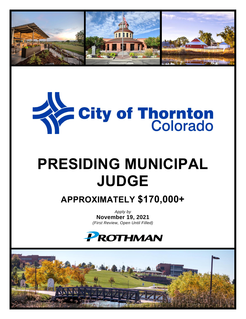



# **PRESIDING MUNICIPAL JUDGE**

**APPROXIMATELY \$170,000+**

*Apply by* **November 19, 2021** *(First Review, Open Until Filled)*



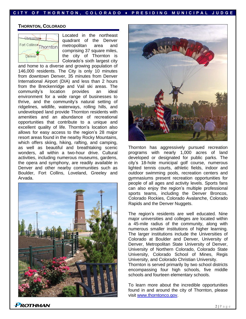#### **C I T Y O F T H O R N T O N , C O L O R A D O ♦ P R E S I D I N G M U N I C I P A L J U D G E**

#### **THORNTON, COLORADO**



Located in the northeast quadrant of the Denver metropolitan area and comprising 37 square miles, the city of Thornton is Colorado's sixth largest city

and home to a diverse and growing population of 146,000 residents. The City is only 10 minutes from downtown Denver, 35 minutes from Denver International Airport (DIA) and less than 2 hours from the Breckenridge and Vail ski areas. The community's location provides an ideal environment for a wide range of businesses to thrive, and the community's natural setting of ridgelines, wildlife, waterways, rolling hills, and undeveloped land provide Thornton residents with amenities and an abundance of recreational opportunities that contribute to a unique and excellent quality of life. Thornton's location also allows for easy access to the region's 28 major resort areas found in the nearby Rocky Mountains, which offers skiing, hiking, rafting, and camping, as well as beautiful and breathtaking scenic wonders, all within a two-hour drive. Cultural activities, including numerous museums, gardens, the opera and symphony, are readily available in Denver and other nearby communities such as Boulder, Fort Collins, Loveland, Greeley and Arvada.





Thornton has aggressively pursued recreation programs with nearly 1,000 acres of land developed or designated for public parks. The city's 18-hole municipal golf course, numerous lighted tennis courts, athletic fields, indoor and outdoor swimming pools, recreation centers and gymnasiums present recreation opportunities for people of all ages and activity levels. Sports fans can also enjoy the region's multiple professional sports teams, including the Denver Broncos, Colorado Rockies, Colorado Avalanche, Colorado Rapids and the Denver Nuggets.

The region's residents are well educated. Nine major universities and colleges are located within a 45-mile radius of the community, along with numerous smaller institutions of higher learning. The larger institutions include the Universities of Colorado at Boulder and Denver, University of Denver, Metropolitan State University of Denver, University of Northern Colorado, Colorado State University, Colorado School of Mines, Regis University, and Colorado Christian University. Thornton is served primarily by two school districts

encompassing four high schools, five middle schools and fourteen elementary schools.

To learn more about the incredible opportunities found in and around the city of Thornton, please visit [www.thorntonco.gov.](http://www.thorntonco.gov/)

**ROTHMAN**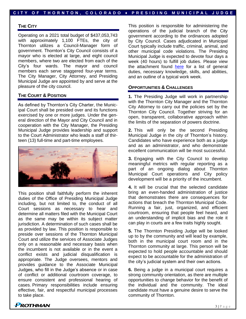#### **C I T Y O F T H O R N T O N , C O L O R A D O ♦ P R E S I D I N G M U N I C I P A L J U D G E**

#### **THE CITY**

Operating on a 2021 total budget of \$437,053,743 with approximately 1,100 FTEs, the city of Thornton utilizes a Council-Manager form of government. Thornton's City Council consists of a mayor who is elected at large, and eight council members, where two are elected from each of the City's four wards. The mayor and council members each serve staggered four-year terms. The City Manager, City Attorney, and Presiding Municipal Judge are appointed by and serve at the pleasure of the city council.

## **THE COURT & POSITION**

As defined by Thornton's City Charter, the Municipal Court shall be presided over and its functions exercised by one or more judges. Under the general direction of the Mayor and City Council and in cooperation with the City Manager, the Presiding Municipal Judge provides leadership and support to the Court Administrator who leads a staff of thirteen (13) full-time and part-time employees.



This position shall faithfully perform the inherent duties of the Office of Presiding Municipal Judge including, but not limited to, the conduct of all Court sessions as necessary to hear and determine all matters filed with the Municipal Court as the same may be within its subject matter jurisdiction. A determination of such cases shall be as provided by law. This position is responsible to preside over sessions of the Thornton Municipal Court and utilize the services of Associate Judges only on a reasonable and necessary basis when the incumbent is not available or in the event a conflict exists and judicial disqualification is appropriate. The Judge oversees, mentors and provides guidance to the Associate Municipal Judges, who fill in the Judge's absence or in case of conflict or additional courtroom coverage, to ensure consistent and professional hearing of cases. Primary responsibilities include ensuring effective, fair, and respectful municipal processes to take place.

This position is responsible for administering the operations of the judicial branch of the City government according to the ordinances adopted by City Council. Cases adjudicated in Municipal Court typically include traffic, criminal, animal, and other municipal code violations. The Presiding Municipal Judge is expected to devote four days a week (40 hours) to fulfill job duties. Please view the attachment found [here](https://prothman.com/JobFiles/2917/Municipal%20Judge%20Position%20Overview.pdf) for a list of general duties, necessary knowledge, skills, and abilities, and an outline of a typical work week.

#### **OPPORTUNITIES & CHALLENGES**

**1.** The Presiding Judge will work in partnership with the Thornton City Manager and the Thornton City Attorney to carry out the policies set by the Thornton City Council. Together striving for an open, transparent, collaborative approach within the limits of the separation of powers doctrine.

**2.** This will only be the second Presiding Municipal Judge in the city of Thornton's history. Candidates who have experience both as a judge and as an administrator, and who demonstrate excellent communication will be most successful.

**3.** Engaging with the City Council to develop meaningful metrics with regular reporting as a part of an ongoing dialog about Thornton Municipal Court operations and City policy development will be a priority of the incumbent.

**4.** It will be crucial that the selected candidate bring an even-handed administration of justice that demonstrates there are consequences for actions that breach the Thornton Municipal Code. Running a fair, just, organized, and efficient courtroom, ensuring that people feel heard, and an understanding of implicit bias and the role it can play in courts are a few traits highly sought.

**5.** The Thornton Presiding Judge will be looked up to by the community and will lead by example, both in the municipal court room and in the Thornton community at large. This person will be expected to hold people accountable and should expect to be accountable for the administration of the city's judicial system and their own actions.

**6.** Being a judge in a municipal court requires a strong community orientation, as there are multiple opportunities to change behavior for the benefit of the individual and the community. The ideal candidate must have a genuine desire to serve the community of Thornton.